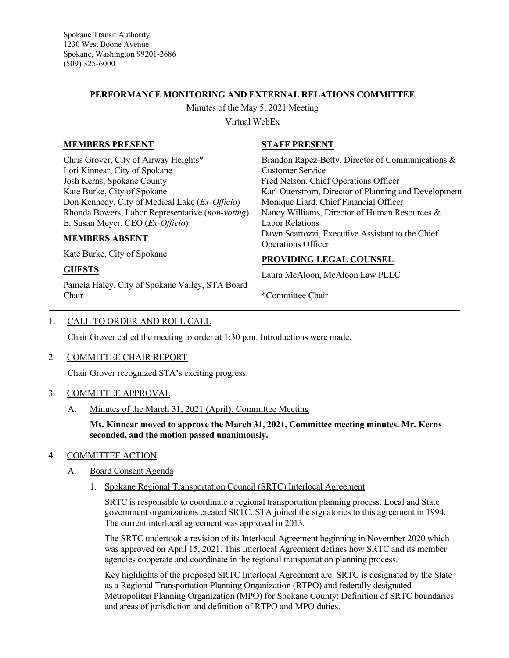Spokane Transit Authority 1230 West Boone Avenue Spokane, Washington 99201-2686 (509) 325-6000

## **PERFORMANCE MONITORING AND EXTERNAL RELATIONS COMMITTEE**

Minutes of the May 5, 2021 Meeting

Virtual WebEx

## **MEMBERS PRESENT**

Chris Grover, City of Airway Heights\* Lori Kinnear, City of Spokane Josh Kerns, Spokane County Kate Burke, City of Spokane Don Kennedy, City of Medical Lake (*Ex-Officio*) Rhonda Bowers, Labor Representative (*non-voting*) E. Susan Meyer, CEO (*Ex-Officio*)

### **MEMBERS ABSENT**

Kate Burke, City of Spokane

# **GUESTS**

Pamela Haley, City of Spokane Valley, STA Board Chair

## **STAFF PRESENT**

Brandon Rapez-Betty, Director of Communications & Customer Service Fred Nelson, Chief Operations Officer Karl Otterstrom, Director of Planning and Development Monique Liard, Chief Financial Officer Nancy Williams, Director of Human Resources & Labor Relations Dawn Scartozzi, Executive Assistant to the Chief Operations Officer

# **PROVIDING LEGAL COUNSEL**

Laura McAloon, McAloon Law PLLC

\*Committee Chair

## 1. CALL TO ORDER AND ROLL CALL

Chair Grover called the meeting to order at 1:30 p.m. Introductions were made.

### 2. COMMITTEE CHAIR REPORT

Chair Grover recognized STA's exciting progress.

### 3. COMMITTEE APPROVAL

A. Minutes of the March 31, 2021 (April), Committee Meeting

**Ms. Kinnear moved to approve the March 31, 2021, Committee meeting minutes. Mr. Kerns seconded, and the motion passed unanimously.**

### 4. COMMITTEE ACTION

### A. Board Consent Agenda

1. Spokane Regional Transportation Council (SRTC) Interlocal Agreement

SRTC is responsible to coordinate a regional transportation planning process. Local and State government organizations created SRTC, STA joined the signatories to this agreement in 1994. The current interlocal agreement was approved in 2013.

The SRTC undertook a revision of its Interlocal Agreement beginning in November 2020 which was approved on April 15, 2021. This Interlocal Agreement defines how SRTC and its member agencies cooperate and coordinate in the regional transportation planning process.

Key highlights of the proposed SRTC Interlocal Agreement are: SRTC is designated by the State as a Regional Transportation Planning Organization (RTPO) and federally designated Metropolitan Planning Organization (MPO) for Spokane County; Definition of SRTC boundaries and areas of jurisdiction and definition of RTPO and MPO duties.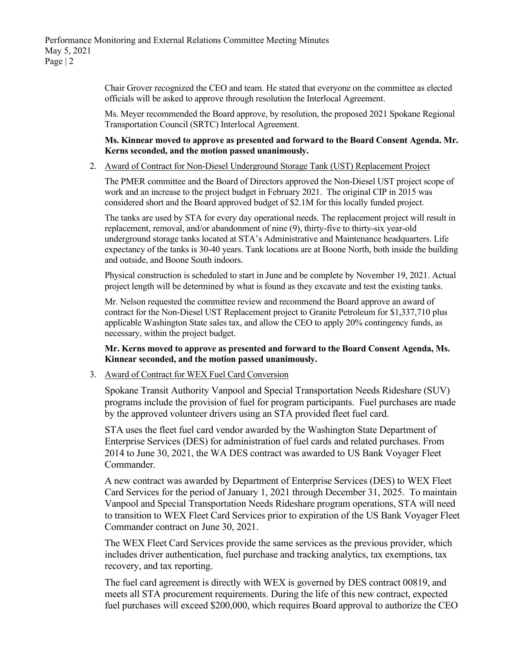Chair Grover recognized the CEO and team. He stated that everyone on the committee as elected officials will be asked to approve through resolution the Interlocal Agreement.

Ms. Meyer recommended the Board approve, by resolution, the proposed 2021 Spokane Regional Transportation Council (SRTC) Interlocal Agreement.

### **Ms. Kinnear moved to approve as presented and forward to the Board Consent Agenda. Mr. Kerns seconded, and the motion passed unanimously.**

2. Award of Contract for Non-Diesel Underground Storage Tank (UST) Replacement Project

The PMER committee and the Board of Directors approved the Non-Diesel UST project scope of work and an increase to the project budget in February 2021. The original CIP in 2015 was considered short and the Board approved budget of \$2.1M for this locally funded project.

The tanks are used by STA for every day operational needs. The replacement project will result in replacement, removal, and/or abandonment of nine (9), thirty-five to thirty-six year-old underground storage tanks located at STA's Administrative and Maintenance headquarters. Life expectancy of the tanks is 30-40 years. Tank locations are at Boone North, both inside the building and outside, and Boone South indoors.

Physical construction is scheduled to start in June and be complete by November 19, 2021. Actual project length will be determined by what is found as they excavate and test the existing tanks.

Mr. Nelson requested the committee review and recommend the Board approve an award of contract for the Non-Diesel UST Replacement project to Granite Petroleum for \$1,337,710 plus applicable Washington State sales tax, and allow the CEO to apply 20% contingency funds, as necessary, within the project budget.

**Mr. Kerns moved to approve as presented and forward to the Board Consent Agenda, Ms. Kinnear seconded, and the motion passed unanimously.**

### 3. Award of Contract for WEX Fuel Card Conversion

Spokane Transit Authority Vanpool and Special Transportation Needs Rideshare (SUV) programs include the provision of fuel for program participants. Fuel purchases are made by the approved volunteer drivers using an STA provided fleet fuel card.

STA uses the fleet fuel card vendor awarded by the Washington State Department of Enterprise Services (DES) for administration of fuel cards and related purchases. From 2014 to June 30, 2021, the WA DES contract was awarded to US Bank Voyager Fleet Commander.

A new contract was awarded by Department of Enterprise Services (DES) to WEX Fleet Card Services for the period of January 1, 2021 through December 31, 2025. To maintain Vanpool and Special Transportation Needs Rideshare program operations, STA will need to transition to WEX Fleet Card Services prior to expiration of the US Bank Voyager Fleet Commander contract on June 30, 2021.

The WEX Fleet Card Services provide the same services as the previous provider, which includes driver authentication, fuel purchase and tracking analytics, tax exemptions, tax recovery, and tax reporting.

The fuel card agreement is directly with WEX is governed by DES contract 00819, and meets all STA procurement requirements. During the life of this new contract, expected fuel purchases will exceed \$200,000, which requires Board approval to authorize the CEO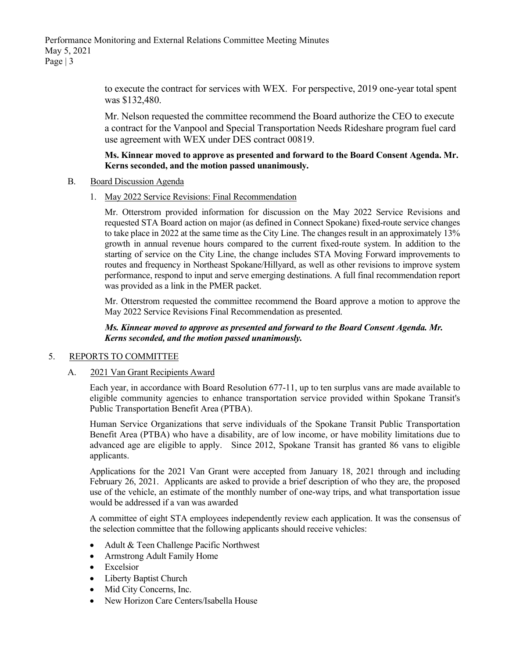Performance Monitoring and External Relations Committee Meeting Minutes May 5, 2021 Page  $|3$ 

> to execute the contract for services with WEX. For perspective, 2019 one-year total spent was \$132,480.

> Mr. Nelson requested the committee recommend the Board authorize the CEO to execute a contract for the Vanpool and Special Transportation Needs Rideshare program fuel card use agreement with WEX under DES contract 00819.

### **Ms. Kinnear moved to approve as presented and forward to the Board Consent Agenda. Mr. Kerns seconded, and the motion passed unanimously.**

#### B. Board Discussion Agenda

1. May 2022 Service Revisions: Final Recommendation

Mr. Otterstrom provided information for discussion on the May 2022 Service Revisions and requested STA Board action on major (as defined in Connect Spokane) fixed-route service changes to take place in 2022 at the same time as the City Line. The changes result in an approximately 13% growth in annual revenue hours compared to the current fixed-route system. In addition to the starting of service on the City Line, the change includes STA Moving Forward improvements to routes and frequency in Northeast Spokane/Hillyard, as well as other revisions to improve system performance, respond to input and serve emerging destinations. A full final recommendation report was provided as a link in the PMER packet.

Mr. Otterstrom requested the committee recommend the Board approve a motion to approve the May 2022 Service Revisions Final Recommendation as presented.

*Ms. Kinnear moved to approve as presented and forward to the Board Consent Agenda. Mr. Kerns seconded, and the motion passed unanimously.*

## 5. REPORTS TO COMMITTEE

A. 2021 Van Grant Recipients Award

Each year, in accordance with Board Resolution 677-11, up to ten surplus vans are made available to eligible community agencies to enhance transportation service provided within Spokane Transit's Public Transportation Benefit Area (PTBA).

Human Service Organizations that serve individuals of the Spokane Transit Public Transportation Benefit Area (PTBA) who have a disability, are of low income, or have mobility limitations due to advanced age are eligible to apply. Since 2012, Spokane Transit has granted 86 vans to eligible applicants.

Applications for the 2021 Van Grant were accepted from January 18, 2021 through and including February 26, 2021. Applicants are asked to provide a brief description of who they are, the proposed use of the vehicle, an estimate of the monthly number of one-way trips, and what transportation issue would be addressed if a van was awarded

A committee of eight STA employees independently review each application. It was the consensus of the selection committee that the following applicants should receive vehicles:

- Adult & Teen Challenge Pacific Northwest
- Armstrong Adult Family Home
- Excelsior
- Liberty Baptist Church
- Mid City Concerns, Inc.
- New Horizon Care Centers/Isabella House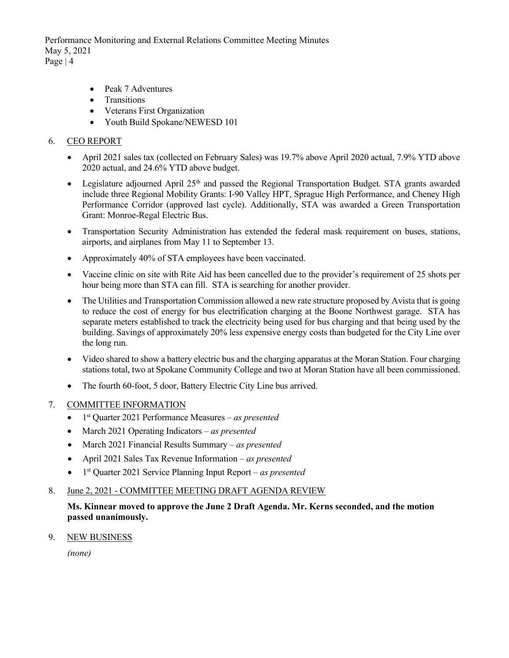Performance Monitoring and External Relations Committee Meeting Minutes May 5, 2021 Page  $|4$ 

- Peak 7 Adventures
- Transitions
- Veterans First Organization
- Youth Build Spokane/NEWESD 101

### 6. CEO REPORT

- April 2021 sales tax (collected on February Sales) was 19.7% above April 2020 actual, 7.9% YTD above 2020 actual, and 24.6% YTD above budget.
- Legislature adjourned April  $25<sup>th</sup>$  and passed the Regional Transportation Budget. STA grants awarded include three Regional Mobility Grants: I-90 Valley HPT, Sprague High Performance, and Cheney High Performance Corridor (approved last cycle). Additionally, STA was awarded a Green Transportation Grant: Monroe-Regal Electric Bus.
- Transportation Security Administration has extended the federal mask requirement on buses, stations, airports, and airplanes from May 11 to September 13.
- Approximately 40% of STA employees have been vaccinated.
- Vaccine clinic on site with Rite Aid has been cancelled due to the provider's requirement of 25 shots per hour being more than STA can fill. STA is searching for another provider.
- The Utilities and Transportation Commission allowed a new rate structure proposed by Avista that is going to reduce the cost of energy for bus electrification charging at the Boone Northwest garage. STA has separate meters established to track the electricity being used for bus charging and that being used by the building. Savings of approximately 20% less expensive energy costs than budgeted for the City Line over the long run.
- Video shared to show a battery electric bus and the charging apparatus at the Moran Station. Four charging stations total, two at Spokane Community College and two at Moran Station have all been commissioned.
- The fourth 60-foot, 5 door, Battery Electric City Line bus arrived.

### 7. COMMITTEE INFORMATION

- 1st Quarter 2021 Performance Measures *– as presented*
- March 2021 Operating Indicators *– as presented*
- March 2021 Financial Results Summary *– as presented*
- April 2021 Sales Tax Revenue Information *– as presented*
- 1st Quarter 2021 Service Planning Input Report *– as presented*

### 8. June 2, 2021 - COMMITTEE MEETING DRAFT AGENDA REVIEW

**Ms. Kinnear moved to approve the June 2 Draft Agenda. Mr. Kerns seconded, and the motion passed unanimously.**

9. NEW BUSINESS

*(none)*